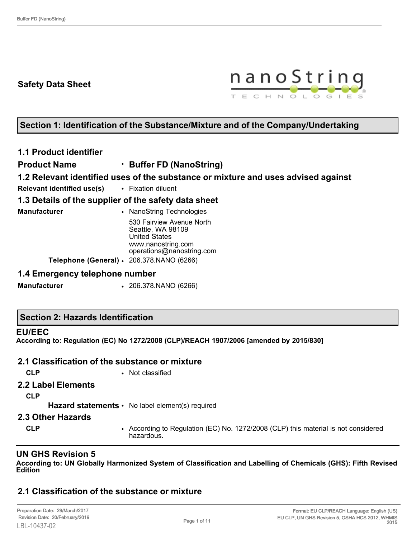## **Safety Data Sheet**



## **Section 1: Identification of the Substance/Mixture and of the Company/Undertaking**

#### **1.1 Product identifier**

**Product Name** • **Buffer FD (NanoString)**

**1.2 Relevant identified uses of the substance or mixture and uses advised against**

**Relevant identified use(s)** • Fixation diluent

#### **1.3 Details of the supplier of the safety data sheet**

**Manufacturer • NanoString Technologies** 530 Fairview Avenue North Seattle, WA 98109 United States www.nanostring.com operations@nanostring.com **Telephone (General)** • 206.378.NANO (6266)

#### **1.4 Emergency telephone number**

**Manufacturer** • 206.378.NANO (6266)

|  |  | <b>Section 2: Hazards Identification</b> |
|--|--|------------------------------------------|
|--|--|------------------------------------------|

#### **EU/EEC**

**According to: Regulation (EC) No 1272/2008 (CLP)/REACH 1907/2006 [amended by 2015/830]**

## **2.1 Classification of the substance or mixture**

**CLP** • Not classified

#### **2.2 Label Elements**

**CLP**

Hazard statements • No label element(s) required

#### **2.3 Other Hazards**

**CLP** • According to Regulation (EC) No. 1272/2008 (CLP) this material is not considered hazardous.

## **UN GHS Revision 5**

**According to: UN Globally Harmonized System of Classification and Labelling of Chemicals (GHS): Fifth Revised Edition**

# **2.1 Classification of the substance or mixture**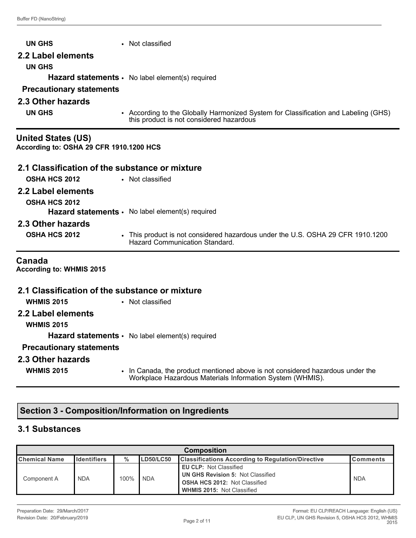| <b>UN GHS</b>                                                        | • Not classified                                                                                                                |
|----------------------------------------------------------------------|---------------------------------------------------------------------------------------------------------------------------------|
| 2.2 Label elements                                                   |                                                                                                                                 |
| <b>UN GHS</b>                                                        |                                                                                                                                 |
|                                                                      | <b>Hazard statements •</b> No label element(s) required                                                                         |
| <b>Precautionary statements</b>                                      |                                                                                                                                 |
| 2.3 Other hazards                                                    |                                                                                                                                 |
| <b>UN GHS</b>                                                        | • According to the Globally Harmonized System for Classification and Labeling (GHS)<br>this product is not considered hazardous |
| <b>United States (US)</b><br>According to: OSHA 29 CFR 1910.1200 HCS |                                                                                                                                 |
| 2.1 Classification of the substance or mixture                       |                                                                                                                                 |
| <b>OSHA HCS 2012</b>                                                 | • Not classified                                                                                                                |
| 2.2 Label elements                                                   |                                                                                                                                 |
| <b>OSHA HCS 2012</b>                                                 |                                                                                                                                 |
|                                                                      | Hazard statements · No label element(s) required                                                                                |
| 2.3 Other hazards                                                    |                                                                                                                                 |
| <b>OSHA HCS 2012</b>                                                 | • This product is not considered hazardous under the U.S. OSHA 29 CFR 1910.1200<br><b>Hazard Communication Standard.</b>        |
| Canada<br>According to: WHMIS 2015                                   |                                                                                                                                 |
| 2.1 Classification of the substance or mixture                       |                                                                                                                                 |
| <b>WHMIS 2015</b>                                                    | • Not classified                                                                                                                |
| 2.2 Label elements                                                   |                                                                                                                                 |
| <b>WHMIS 2015</b>                                                    |                                                                                                                                 |
|                                                                      | Hazard statements · No label element(s) required                                                                                |

# **Precautionary statements**

#### **2.3 Other hazards**

- 
- **WHMIS 2015** In Canada, the product mentioned above is not considered hazardous under the Workplace Hazardous Materials Information System (WHMIS).

# **Section 3 - Composition/Information on Ingredients**

## **3.1 Substances**

| <b>Composition</b>   |                      |      |                  |                                                                                                                                                        |                  |
|----------------------|----------------------|------|------------------|--------------------------------------------------------------------------------------------------------------------------------------------------------|------------------|
| <b>Chemical Name</b> | <b>I</b> Identifiers | $\%$ | <b>LD50/LC50</b> | <b>Classifications According to Regulation/Directive</b>                                                                                               | <b>IComments</b> |
| Component A          | <b>NDA</b>           | 100% | <b>NDA</b>       | <b>EU CLP: Not Classified</b><br><b>UN GHS Revision 5: Not Classified</b><br><b>OSHA HCS 2012: Not Classified</b><br><b>WHMIS 2015: Not Classified</b> | <b>NDA</b>       |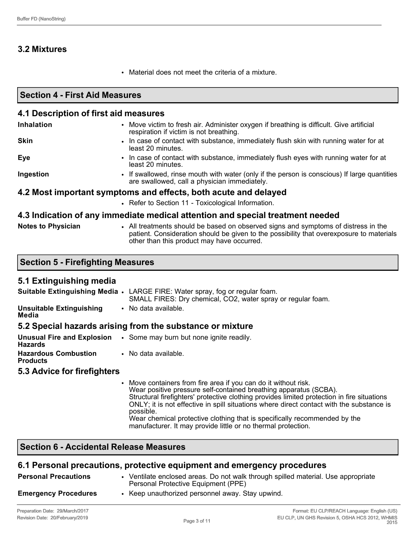# **3.2 Mixtures**

• Material does not meet the criteria of a mixture.

| <b>Section 4 - First Aid Measures</b><br>4.1 Description of first aid measures |                                                                                                                                                                                |  |  |  |
|--------------------------------------------------------------------------------|--------------------------------------------------------------------------------------------------------------------------------------------------------------------------------|--|--|--|
|                                                                                |                                                                                                                                                                                |  |  |  |
| <b>Skin</b>                                                                    | • In case of contact with substance, immediately flush skin with running water for at<br>least 20 minutes.                                                                     |  |  |  |
| Eye                                                                            | • In case of contact with substance, immediately flush eyes with running water for at<br>least 20 minutes.                                                                     |  |  |  |
| Ingestion                                                                      | • If swallowed, rinse mouth with water (only if the person is conscious) If large quantities<br>are swallowed, call a physician immediately.                                   |  |  |  |
| 4.2 Most important symptoms and effects, both acute and delayed                |                                                                                                                                                                                |  |  |  |
|                                                                                | • Refer to Section 11 - Toxicological Information.                                                                                                                             |  |  |  |
|                                                                                | 4.3 Indication of any immediate medical attention and special treatment needed                                                                                                 |  |  |  |
| <b>Notes to Physician</b>                                                      | • All treatments should be based on observed signs and symptoms of distress in the<br>patient. Consideration should be given to the possibility that overexposure to materials |  |  |  |

other than this product may have occurred.

#### **5.1 Extinguishing media**

|                                          | <b>Suitable Extinguishing Media •</b> LARGE FIRE: Water spray, fog or regular foam.<br>SMALL FIRES: Dry chemical, CO2, water spray or regular foam. |
|------------------------------------------|-----------------------------------------------------------------------------------------------------------------------------------------------------|
| <b>Unsuitable Extinguishing</b><br>Media | No data available.                                                                                                                                  |

#### **5.2 Special hazards arising from the substance or mixture**

| Hazards                                        | <b>Unusual Fire and Explosion</b> . Some may burn but none ignite readily. |
|------------------------------------------------|----------------------------------------------------------------------------|
| <b>Hazardous Combustion</b><br><b>Products</b> | • No data available.                                                       |

#### **5.3 Advice for firefighters**

• Move containers from fire area if you can do it without risk. Wear positive pressure self-contained breathing apparatus (SCBA). Structural firefighters' protective clothing provides limited protection in fire situations ONLY; it is not effective in spill situations where direct contact with the substance is possible. Wear chemical protective clothing that is specifically recommended by the manufacturer. It may provide little or no thermal protection.

#### **Section 6 - Accidental Release Measures**

## **6.1 Personal precautions, protective equipment and emergency procedures**

| <b>Personal Precautions</b> | • Ventilate enclosed areas. Do not walk through spilled material. Use appropriate<br>Personal Protective Equipment (PPE) |
|-----------------------------|--------------------------------------------------------------------------------------------------------------------------|
| <b>Emergency Procedures</b> | • Keep unauthorized personnel away. Stay upwind.                                                                         |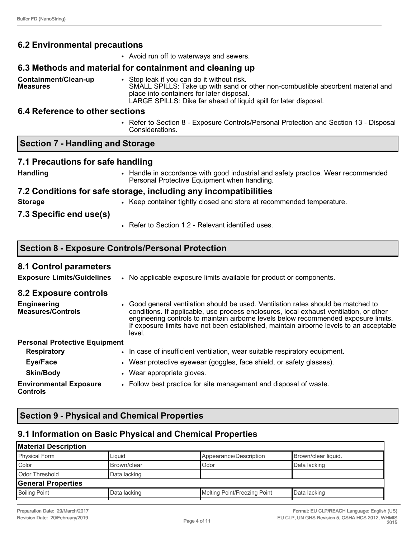**Measures**

**Containment/Clean-up** 

## **6.2 Environmental precautions**

• Avoid run off to waterways and sewers.

#### **6.3 Methods and material for containment and cleaning up**

• Stop leak if you can do it without risk. SMALL SPILLS: Take up with sand or other non-combustible absorbent material and place into containers for later disposal. LARGE SPILLS: Dike far ahead of liquid spill for later disposal.

#### **6.4 Reference to other sections**

• Refer to Section 8 - Exposure Controls/Personal Protection and Section 13 - Disposal Considerations.

#### **Section 7 - Handling and Storage**

#### **7.1 Precautions for safe handling**

**Handling** • Handle in accordance with good industrial and safety practice. Wear recommended Personal Protective Equipment when handling.

#### **7.2 Conditions for safe storage, including any incompatibilities**

- 
- **Storage** Keep container tightly closed and store at recommended temperature.

#### **7.3 Specific end use(s)**

• Refer to Section 1.2 - Relevant identified uses.

#### **Section 8 - Exposure Controls/Personal Protection**

#### **8.1 Control parameters**

**Exposure Limits/Guidelines** • No applicable exposure limits available for product or components.

#### **8.2 Exposure controls**

- **Engineering Measures/Controls** • Good general ventilation should be used. Ventilation rates should be matched to conditions. If applicable, use process enclosures, local exhaust ventilation, or other engineering controls to maintain airborne levels below recommended exposure limits. If exposure limits have not been established, maintain airborne levels to an acceptable level. **Personal Protective Equipment Respiratory • In case of insufficient ventilation, wear suitable respiratory equipment.**
- **Eye/Face Wear protective eyewear (goggles, face shield, or safety glasses). Skin/Body** • Wear appropriate gloves.

**Environmental Exposure Controls** • Follow best practice for site management and disposal of waste.

# **Section 9 - Physical and Chemical Properties**

#### **9.1 Information on Basic Physical and Chemical Properties**

#### **Material Description**  Physical Form **Liquid** Liquid **Appearance/Description** Brown/clear liquid. Color **Brown/clear** Brown/clear **Data lacking** Odor **Data lacking** Odor Threshold Data lacking **General Properties**  Boiling Point **Data lacking Community** Data lacking Melting Point/Freezing Point Data lacking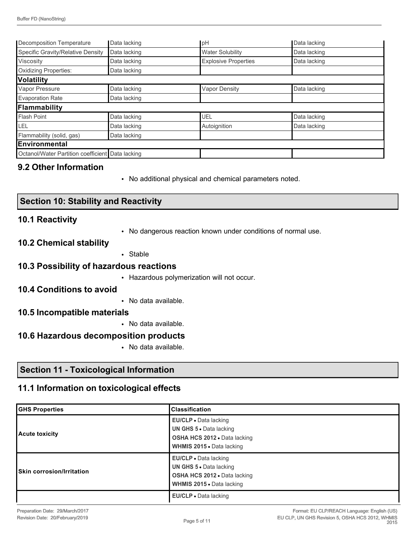| Decomposition Temperature                        | Data lacking | pH                          | Data lacking |
|--------------------------------------------------|--------------|-----------------------------|--------------|
| Specific Gravity/Relative Density                | Data lacking | <b>Water Solubility</b>     | Data lacking |
| Viscosity                                        | Data lacking | <b>Explosive Properties</b> | Data lacking |
| <b>Oxidizing Properties:</b>                     | Data lacking |                             |              |
| Volatility                                       |              |                             |              |
| Vapor Pressure                                   | Data lacking | <b>Vapor Density</b>        | Data lacking |
| <b>Evaporation Rate</b>                          | Data lacking |                             |              |
| Flammability                                     |              |                             |              |
| <b>Flash Point</b>                               | Data lacking | UEL                         | Data lacking |
| LEL                                              | Data lacking | Autoignition                | Data lacking |
| Flammability (solid, gas)                        | Data lacking |                             |              |
| Environmental                                    |              |                             |              |
| Octanol/Water Partition coefficient Data lacking |              |                             |              |

#### **9.2 Other Information**

• No additional physical and chemical parameters noted.

#### **10.1 Reactivity**

- No dangerous reaction known under conditions of normal use.
- **10.2 Chemical stability**
- Stable

#### **10.3 Possibility of hazardous reactions**

• Hazardous polymerization will not occur.

#### **10.4 Conditions to avoid**

• No data available.

#### **10.5 Incompatible materials**

• No data available.

#### **10.6 Hazardous decomposition products**

• No data available.

## **Section 11 - Toxicological Information**

# **11.1 Information on toxicological effects**

| <b>GHS Properties</b>     | <b>Classification</b>                                                                                                              |
|---------------------------|------------------------------------------------------------------------------------------------------------------------------------|
| Acute toxicity            | <b>EU/CLP</b> • Data lacking<br>UN GHS 5 . Data lacking<br><b>OSHA HCS 2012 .</b> Data lacking<br><b>WHMIS 2015 • Data lacking</b> |
| Skin corrosion/Irritation | <b>EU/CLP</b> • Data lacking<br><b>UN GHS 5 · Data lacking</b><br>OSHA HCS 2012 . Data lacking<br><b>WHMIS 2015 • Data lacking</b> |
|                           | EU/CLP • Data lacking                                                                                                              |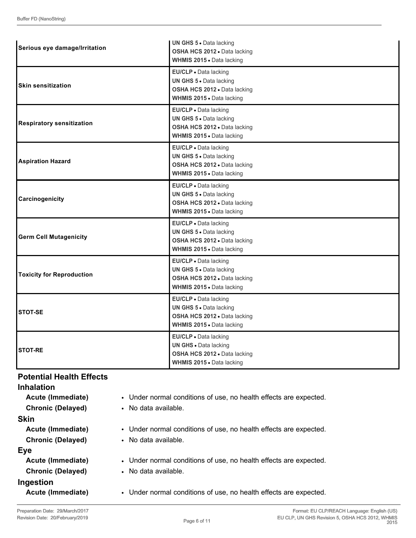| Serious eye damage/Irritation    | <b>UN GHS 5 • Data lacking</b><br>OSHA HCS 2012 · Data lacking<br>WHMIS 2015 . Data lacking                        |
|----------------------------------|--------------------------------------------------------------------------------------------------------------------|
| <b>Skin sensitization</b>        | EU/CLP . Data lacking<br>UN GHS 5 . Data lacking<br>OSHA HCS 2012 · Data lacking<br>WHMIS 2015 . Data lacking      |
| <b>Respiratory sensitization</b> | EU/CLP · Data lacking<br>UN GHS 5 · Data lacking<br>OSHA HCS 2012 · Data lacking<br>WHMIS 2015 . Data lacking      |
| <b>Aspiration Hazard</b>         | EU/CLP · Data lacking<br>UN GHS 5 . Data lacking<br>OSHA HCS 2012 · Data lacking<br>WHMIS 2015 . Data lacking      |
| Carcinogenicity                  | EU/CLP . Data lacking<br>UN GHS 5 . Data lacking<br>OSHA HCS 2012 . Data lacking<br>WHMIS 2015 . Data lacking      |
| <b>Germ Cell Mutagenicity</b>    | EU/CLP · Data lacking<br>UN GHS 5 . Data lacking<br>OSHA HCS 2012 · Data lacking<br>WHMIS 2015 . Data lacking      |
| <b>Toxicity for Reproduction</b> | EU/CLP · Data lacking<br>UN GHS 5 . Data lacking<br>OSHA HCS 2012 · Data lacking<br>WHMIS 2015 . Data lacking      |
| <b>STOT-SE</b>                   | EU/CLP · Data lacking<br>UN GHS 5 . Data lacking<br>OSHA HCS 2012 . Data lacking<br>WHMIS 2015 . Data lacking      |
| <b>STOT-RE</b>                   | EU/CLP · Data lacking<br><b>UN GHS · Data lacking</b><br>OSHA HCS 2012 · Data lacking<br>WHMIS 2015 . Data lacking |

#### **Potential Health Effects Inhalation**

| Inhalation               |                                                                   |
|--------------------------|-------------------------------------------------------------------|
| Acute (Immediate)        | • Under normal conditions of use, no health effects are expected. |
| <b>Chronic (Delayed)</b> | • No data available.                                              |
| <b>Skin</b>              |                                                                   |
| Acute (Immediate)        | • Under normal conditions of use, no health effects are expected. |
| <b>Chronic (Delayed)</b> | • No data available.                                              |
| Eye                      |                                                                   |
| Acute (Immediate)        | • Under normal conditions of use, no health effects are expected. |
| <b>Chronic (Delayed)</b> | • No data available.                                              |
| Ingestion                |                                                                   |
| Acute (Immediate)        | • Under normal conditions of use, no health effects are expected. |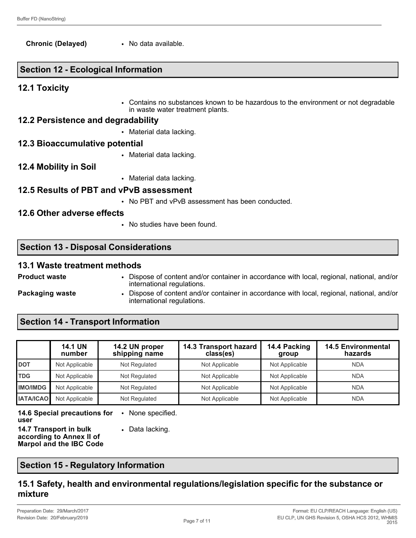**Chronic (Delayed)** • No data available.

# **Section 12 - Ecological Information**

## **12.1 Toxicity**

• Contains no substances known to be hazardous to the environment or not degradable in waste water treatment plants.

## **12.2 Persistence and degradability**

• Material data lacking.

# **12.3 Bioaccumulative potential**

- Material data lacking.
- **12.4 Mobility in Soil**
- Material data lacking.

# **12.5 Results of PBT and vPvB assessment**

• No PBT and vPvB assessment has been conducted.

# **12.6 Other adverse effects**

• No studies have been found.

# **Section 13 - Disposal Considerations**

## **13.1 Waste treatment methods**

- 
- **Product waste** Dispose of content and/or container in accordance with local, regional, national, and/or international regulations.
- 
- **Packaging waste Dispose of content and/or container in accordance with local, regional, national, and/or** international regulations.

# **Section 14 - Transport Information**

|                  | <b>14.1 UN</b><br>number | 14.2 UN proper<br>shipping name | 14.3 Transport hazard<br>class(es) | 14.4 Packing<br>group | <b>14.5 Environmental</b><br>hazards |
|------------------|--------------------------|---------------------------------|------------------------------------|-----------------------|--------------------------------------|
| <b>DOT</b>       | Not Applicable           | Not Regulated                   | Not Applicable                     | Not Applicable        | <b>NDA</b>                           |
| <b>TDG</b>       | Not Applicable           | Not Regulated                   | Not Applicable                     | Not Applicable        | <b>NDA</b>                           |
| <b>IMO/IMDG</b>  | Not Applicable           | Not Regulated                   | Not Applicable                     | Not Applicable        | <b>NDA</b>                           |
| <b>IATA/ICAO</b> | Not Applicable           | Not Regulated                   | Not Applicable                     | Not Applicable        | <b>NDA</b>                           |

**14.6 Special precautions for user** • None specified. **14.7 Transport in bulk** 

**according to Annex II of Marpol and the IBC Code** • Data lacking.

**Section 15 - Regulatory Information**

## **15.1 Safety, health and environmental regulations/legislation specific for the substance or mixture**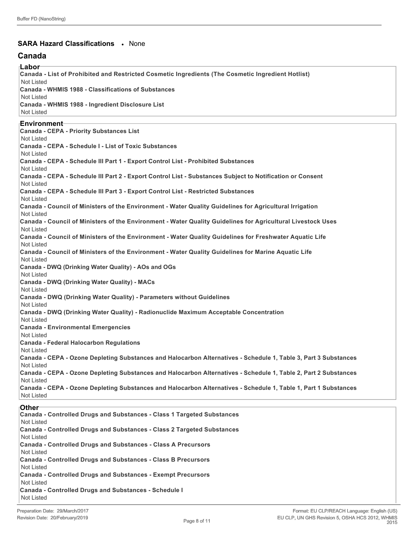#### **SARA Hazard Classifications** • None

#### **Canada**

**Labor Canada - List of Prohibited and Restricted Cosmetic Ingredients (The Cosmetic Ingredient Hotlist)** Not Listed **Canada - WHMIS 1988 - Classifications of Substances** Not Listed **Canada - WHMIS 1988 - Ingredient Disclosure List** Not Listed **Environment Canada - CEPA - Priority Substances List** Not Listed **Canada - CEPA - Schedule I - List of Toxic Substances** Not Listed **Canada - CEPA - Schedule III Part 1 - Export Control List - Prohibited Substances** Not Listed **Canada - CEPA - Schedule III Part 2 - Export Control List - Substances Subject to Notification or Consent** Not Listed **Canada - CEPA - Schedule III Part 3 - Export Control List - Restricted Substances** Not Listed **Canada - Council of Ministers of the Environment - Water Quality Guidelines for Agricultural Irrigation** Not Listed **Canada - Council of Ministers of the Environment - Water Quality Guidelines for Agricultural Livestock Uses** Not Listed **Canada - Council of Ministers of the Environment - Water Quality Guidelines for Freshwater Aquatic Life** Not Listed **Canada - Council of Ministers of the Environment - Water Quality Guidelines for Marine Aquatic Life** Not Listed **Canada - DWQ (Drinking Water Quality) - AOs and OGs** Not Listed **Canada - DWQ (Drinking Water Quality) - MACs** Not Listed **Canada - DWQ (Drinking Water Quality) - Parameters without Guidelines** Not Listed **Canada - DWQ (Drinking Water Quality) - Radionuclide Maximum Acceptable Concentration** Not Listed **Canada - Environmental Emergencies** Not Listed **Canada - Federal Halocarbon Regulations** Not Listed **Canada - CEPA - Ozone Depleting Substances and Halocarbon Alternatives - Schedule 1, Table 3, Part 3 Substances** Not Listed **Canada - CEPA - Ozone Depleting Substances and Halocarbon Alternatives - Schedule 1, Table 2, Part 2 Substances** Not Listed **Canada - CEPA - Ozone Depleting Substances and Halocarbon Alternatives - Schedule 1, Table 1, Part 1 Substances** Not Listed **Other Canada - Controlled Drugs and Substances - Class 1 Targeted Substances** Not Listed

**Canada - Controlled Drugs and Substances - Class 2 Targeted Substances** Not Listed

**Canada - Controlled Drugs and Substances - Class A Precursors** Not Listed

**Canada - Controlled Drugs and Substances - Class B Precursors** Not Listed

**Canada - Controlled Drugs and Substances - Exempt Precursors**

Not Listed **Canada - Controlled Drugs and Substances - Schedule I** Not Listed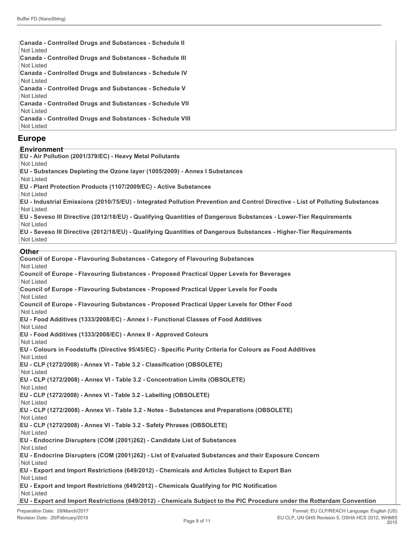| <b>Canada - Controlled Drugs and Substances - Schedule II</b><br>Not Listed |
|-----------------------------------------------------------------------------|
| <b>Canada - Controlled Drugs and Substances - Schedule III</b>              |
| Not Listed                                                                  |
| <b>Canada - Controlled Drugs and Substances - Schedule IV</b>               |
| Not Listed                                                                  |
| <b>Canada - Controlled Drugs and Substances - Schedule V</b>                |
| Not Listed                                                                  |
| <b>Canada - Controlled Drugs and Substances - Schedule VII</b>              |
| Not Listed                                                                  |
| <b>Canada - Controlled Drugs and Substances - Schedule VIII</b>             |
| Not Listed                                                                  |

#### **Europe**

#### **Environment**

- **EU Air Pollution (2001/379/EC) Heavy Metal Pollutants**
- Not Listed
- **EU Substances Depleting the Ozone layer (1005/2009) Annex I Substances**
- Not Listed
- **EU Plant Protection Products (1107/2009/EC) Active Substances**
- Not Listed
	- **EU Industrial Emissions (2010/75/EU) Integrated Pollution Prevention and Control Directive List of Polluting Substances** Not Listed
	- **EU Seveso III Directive (2012/18/EU) Qualifying Quantities of Dangerous Substances Lower-Tier Requirements** Not Listed
	- **EU Seveso III Directive (2012/18/EU) Qualifying Quantities of Dangerous Substances Higher-Tier Requirements** Not Listed

#### **Other**

| Council of Europe - Flavouring Substances - Category of Flavouring Substances<br><b>Not Listed</b>                     |
|------------------------------------------------------------------------------------------------------------------------|
| Council of Europe - Flavouring Substances - Proposed Practical Upper Levels for Beverages                              |
| <b>Not Listed</b>                                                                                                      |
| Council of Europe - Flavouring Substances - Proposed Practical Upper Levels for Foods                                  |
| <b>Not Listed</b>                                                                                                      |
| Council of Europe - Flavouring Substances - Proposed Practical Upper Levels for Other Food<br>Not Listed               |
| EU - Food Additives (1333/2008/EC) - Annex I - Functional Classes of Food Additives<br><b>Not Listed</b>               |
| EU - Food Additives (1333/2008/EC) - Annex II - Approved Colours                                                       |
| <b>Not Listed</b>                                                                                                      |
| EU - Colours in Foodstuffs (Directive 95/45/EC) - Specific Purity Criteria for Colours as Food Additives               |
| <b>Not Listed</b>                                                                                                      |
| EU - CLP (1272/2008) - Annex VI - Table 3.2 - Classification (OBSOLETE)                                                |
| Not Listed                                                                                                             |
| EU - CLP (1272/2008) - Annex VI - Table 3.2 - Concentration Limits (OBSOLETE)                                          |
| <b>Not Listed</b>                                                                                                      |
| EU - CLP (1272/2008) - Annex VI - Table 3.2 - Labelling (OBSOLETE)                                                     |
| Not Listed                                                                                                             |
| EU - CLP (1272/2008) - Annex VI - Table 3.2 - Notes - Substances and Preparations (OBSOLETE)<br>Not Listed             |
| EU - CLP (1272/2008) - Annex VI - Table 3.2 - Safety Phrases (OBSOLETE)                                                |
| <b>Not Listed</b>                                                                                                      |
| EU - Endocrine Disrupters (COM (2001)262) - Candidate List of Substances                                               |
| Not Listed                                                                                                             |
| EU - Endocrine Disrupters (COM (2001)262) - List of Evaluated Substances and their Exposure Concern                    |
| Not Listed                                                                                                             |
| EU - Export and Import Restrictions (649/2012) - Chemicals and Articles Subject to Export Ban                          |
| Not Listed                                                                                                             |
| EU - Export and Import Restrictions (649/2012) - Chemicals Qualifying for PIC Notification                             |
| Not Listed                                                                                                             |
| EU - Export and Import Restrictions (649/2012) - Chemicals Subject to the PIC Procedure under the Rotterdam Convention |
|                                                                                                                        |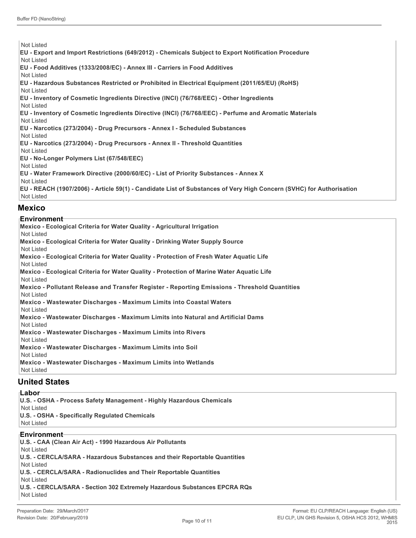Not Listed **EU - Export and Import Restrictions (649/2012) - Chemicals Subject to Export Notification Procedure** Not Listed **EU - Food Additives (1333/2008/EC) - Annex III - Carriers in Food Additives** Not Listed **EU - Hazardous Substances Restricted or Prohibited in Electrical Equipment (2011/65/EU) (RoHS)** Not Listed **EU - Inventory of Cosmetic Ingredients Directive (INCI) (76/768/EEC) - Other Ingredients** Not Listed **EU - Inventory of Cosmetic Ingredients Directive (INCI) (76/768/EEC) - Perfume and Aromatic Materials** Not Listed **EU - Narcotics (273/2004) - Drug Precursors - Annex I - Scheduled Substances** Not Listed **EU - Narcotics (273/2004) - Drug Precursors - Annex II - Threshold Quantities** Not Listed **EU - No-Longer Polymers List (67/548/EEC)** Not Listed **EU - Water Framework Directive (2000/60/EC) - List of Priority Substances - Annex X** Not Listed **EU - REACH (1907/2006) - Article 59(1) - Candidate List of Substances of Very High Concern (SVHC) for Authorisation** Not Listed

#### **Mexico**

#### **Environment**

| Mexico - Ecological Criteria for Water Quality - Agricultural Irrigation                      |
|-----------------------------------------------------------------------------------------------|
| Not Listed                                                                                    |
| Mexico - Ecological Criteria for Water Quality - Drinking Water Supply Source                 |
| Not Listed                                                                                    |
| Mexico - Ecological Criteria for Water Quality - Protection of Fresh Water Aquatic Life       |
| Not Listed                                                                                    |
| Mexico - Ecological Criteria for Water Quality - Protection of Marine Water Aquatic Life      |
| Not Listed                                                                                    |
| Mexico - Pollutant Release and Transfer Register - Reporting Emissions - Threshold Quantities |
| Not Listed                                                                                    |
| Mexico - Wastewater Discharges - Maximum Limits into Coastal Waters                           |
| Not Listed                                                                                    |
| Mexico - Wastewater Discharges - Maximum Limits into Natural and Artificial Dams              |
| Not Listed                                                                                    |
| Mexico - Wastewater Discharges - Maximum Limits into Rivers                                   |
| Not Listed                                                                                    |
| Mexico - Wastewater Discharges - Maximum Limits into Soil                                     |
| Not Listed                                                                                    |
| Mexico - Wastewater Discharges - Maximum Limits into Wetlands                                 |
| Not Listed                                                                                    |
|                                                                                               |

#### **United States**

**Labor**

**U.S. - OSHA - Process Safety Management - Highly Hazardous Chemicals** Not Listed **U.S. - OSHA - Specifically Regulated Chemicals** Not Listed **Environment**

**U.S. - CAA (Clean Air Act) - 1990 Hazardous Air Pollutants** Not Listed **U.S. - CERCLA/SARA - Hazardous Substances and their Reportable Quantities** Not Listed **U.S. - CERCLA/SARA - Radionuclides and Their Reportable Quantities** Not Listed **U.S. - CERCLA/SARA - Section 302 Extremely Hazardous Substances EPCRA RQs** Not Listed